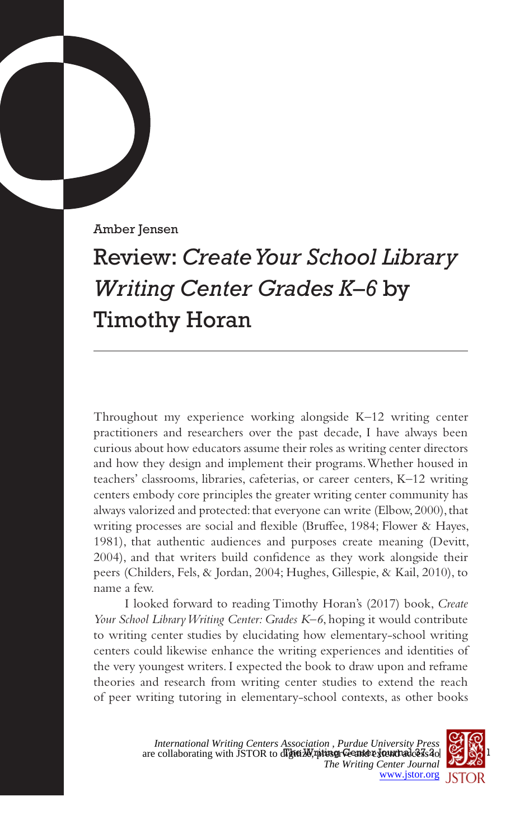Amber Jensen

## Review: *Create Your School Library Writing Center Grades K–6* by Timothy Horan

Throughout my experience working alongside K–12 writing center practitioners and researchers over the past decade, I have always been curious about how educators assume their roles as writing center directors and how they design and implement their programs. Whether housed in teachers' classrooms, libraries, cafeterias, or career centers, K–12 writing centers embody core principles the greater writing center community has always valorized and protected: that everyone can write (Elbow, 2000), that writing processes are social and flexible (Bruffee, 1984; Flower & Hayes, 1981), that authentic audiences and purposes create meaning (Devitt, 2004), and that writers build confidence as they work alongside their peers (Childers, Fels, & Jordan, 2004; Hughes, Gillespie, & Kail, 2010), to name a few.

I looked forward to reading Timothy Horan's (2017) book, *Create Your School Library Writing Center: Grades K*–*6*, hoping it would contribute to writing center studies by elucidating how elementary-school writing centers could likewise enhance the writing experiences and identities of the very youngest writers. I expected the book to draw upon and reframe theories and research from writing center studies to extend the reach of peer writing tutoring in elementary-school contexts, as other books

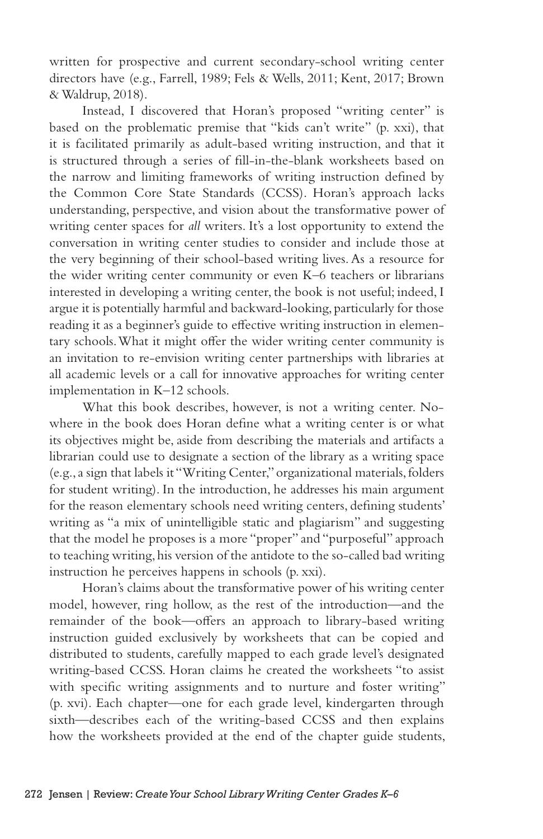written for prospective and current secondary-school writing center directors have (e.g., Farrell, 1989; Fels & Wells, 2011; Kent, 2017; Brown & Waldrup, 2018).

Instead, I discovered that Horan's proposed "writing center" is based on the problematic premise that "kids can't write" (p. xxi), that it is facilitated primarily as adult-based writing instruction, and that it is structured through a series of fill-in-the-blank worksheets based on the narrow and limiting frameworks of writing instruction defined by the Common Core State Standards (CCSS). Horan's approach lacks understanding, perspective, and vision about the transformative power of writing center spaces for *all* writers. It's a lost opportunity to extend the conversation in writing center studies to consider and include those at the very beginning of their school-based writing lives. As a resource for the wider writing center community or even K–6 teachers or librarians interested in developing a writing center, the book is not useful; indeed, I argue it is potentially harmful and backward-looking, particularly for those reading it as a beginner's guide to effective writing instruction in elementary schools. What it might offer the wider writing center community is an invitation to re-envision writing center partnerships with libraries at all academic levels or a call for innovative approaches for writing center implementation in K–12 schools.

What this book describes, however, is not a writing center. Nowhere in the book does Horan define what a writing center is or what its objectives might be, aside from describing the materials and artifacts a librarian could use to designate a section of the library as a writing space (e.g., a sign that labels it "Writing Center," organizational materials, folders for student writing). In the introduction, he addresses his main argument for the reason elementary schools need writing centers, defining students' writing as "a mix of unintelligible static and plagiarism" and suggesting that the model he proposes is a more "proper" and "purposeful" approach to teaching writing, his version of the antidote to the so-called bad writing instruction he perceives happens in schools (p. xxi).

Horan's claims about the transformative power of his writing center model, however, ring hollow, as the rest of the introduction—and the remainder of the book—offers an approach to library-based writing instruction guided exclusively by worksheets that can be copied and distributed to students, carefully mapped to each grade level's designated writing-based CCSS. Horan claims he created the worksheets "to assist with specific writing assignments and to nurture and foster writing" (p. xvi). Each chapter—one for each grade level, kindergarten through sixth—describes each of the writing-based CCSS and then explains how the worksheets provided at the end of the chapter guide students,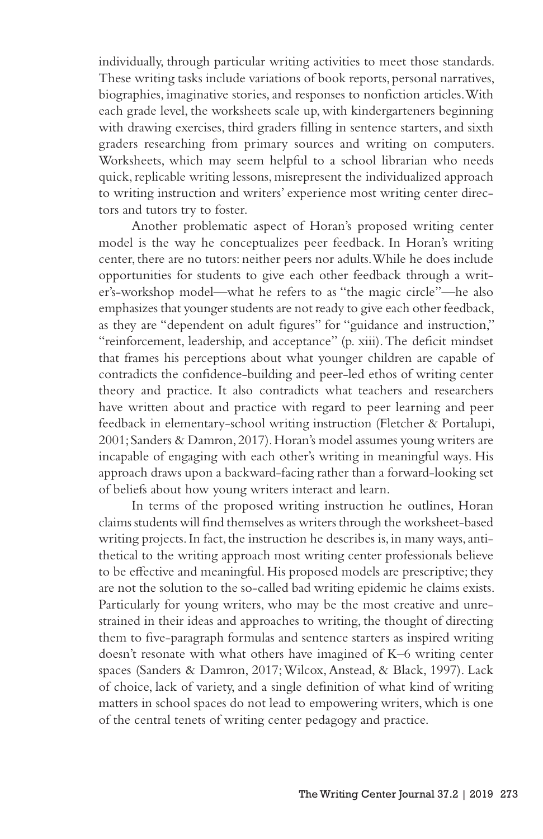individually, through particular writing activities to meet those standards. These writing tasks include variations of book reports, personal narratives, biographies, imaginative stories, and responses to nonfiction articles. With each grade level, the worksheets scale up, with kindergarteners beginning with drawing exercises, third graders filling in sentence starters, and sixth graders researching from primary sources and writing on computers. Worksheets, which may seem helpful to a school librarian who needs quick, replicable writing lessons, misrepresent the individualized approach to writing instruction and writers' experience most writing center directors and tutors try to foster.

Another problematic aspect of Horan's proposed writing center model is the way he conceptualizes peer feedback. In Horan's writing center, there are no tutors: neither peers nor adults. While he does include opportunities for students to give each other feedback through a writer's-workshop model—what he refers to as "the magic circle"—he also emphasizes that younger students are not ready to give each other feedback, as they are "dependent on adult figures" for "guidance and instruction," "reinforcement, leadership, and acceptance" (p. xiii). The deficit mindset that frames his perceptions about what younger children are capable of contradicts the confidence-building and peer-led ethos of writing center theory and practice. It also contradicts what teachers and researchers have written about and practice with regard to peer learning and peer feedback in elementary-school writing instruction (Fletcher & Portalupi, 2001; Sanders & Damron, 2017). Horan's model assumes young writers are incapable of engaging with each other's writing in meaningful ways. His approach draws upon a backward-facing rather than a forward-looking set of beliefs about how young writers interact and learn.

In terms of the proposed writing instruction he outlines, Horan claims students will find themselves as writers through the worksheet-based writing projects. In fact, the instruction he describes is, in many ways, antithetical to the writing approach most writing center professionals believe to be effective and meaningful. His proposed models are prescriptive; they are not the solution to the so-called bad writing epidemic he claims exists. Particularly for young writers, who may be the most creative and unrestrained in their ideas and approaches to writing, the thought of directing them to five-paragraph formulas and sentence starters as inspired writing doesn't resonate with what others have imagined of K–6 writing center spaces (Sanders & Damron, 2017; Wilcox, Anstead, & Black, 1997). Lack of choice, lack of variety, and a single definition of what kind of writing matters in school spaces do not lead to empowering writers, which is one of the central tenets of writing center pedagogy and practice.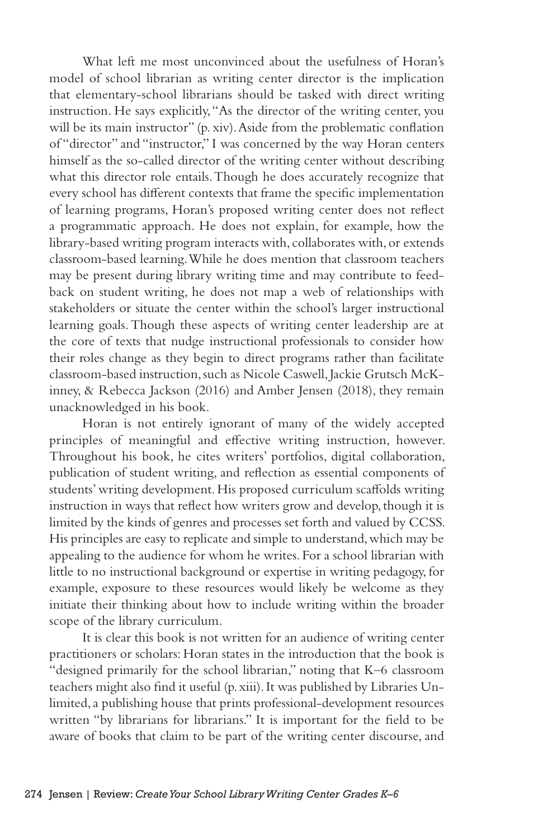What left me most unconvinced about the usefulness of Horan's model of school librarian as writing center director is the implication that elementary-school librarians should be tasked with direct writing instruction. He says explicitly, "As the director of the writing center, you will be its main instructor" (p. xiv). Aside from the problematic conflation of "director" and "instructor," I was concerned by the way Horan centers himself as the so-called director of the writing center without describing what this director role entails. Though he does accurately recognize that every school has different contexts that frame the specific implementation of learning programs, Horan's proposed writing center does not reflect a programmatic approach. He does not explain, for example, how the library-based writing program interacts with, collaborates with, or extends classroom-based learning. While he does mention that classroom teachers may be present during library writing time and may contribute to feedback on student writing, he does not map a web of relationships with stakeholders or situate the center within the school's larger instructional learning goals. Though these aspects of writing center leadership are at the core of texts that nudge instructional professionals to consider how their roles change as they begin to direct programs rather than facilitate classroom-based instruction, such as Nicole Caswell, Jackie Grutsch McKinney, & Rebecca Jackson (2016) and Amber Jensen (2018), they remain unacknowledged in his book.

Horan is not entirely ignorant of many of the widely accepted principles of meaningful and effective writing instruction, however. Throughout his book, he cites writers' portfolios, digital collaboration, publication of student writing, and reflection as essential components of students' writing development. His proposed curriculum scaffolds writing instruction in ways that reflect how writers grow and develop, though it is limited by the kinds of genres and processes set forth and valued by CCSS. His principles are easy to replicate and simple to understand, which may be appealing to the audience for whom he writes. For a school librarian with little to no instructional background or expertise in writing pedagogy, for example, exposure to these resources would likely be welcome as they initiate their thinking about how to include writing within the broader scope of the library curriculum.

It is clear this book is not written for an audience of writing center practitioners or scholars: Horan states in the introduction that the book is "designed primarily for the school librarian," noting that K–6 classroom teachers might also find it useful (p. xiii). It was published by Libraries Unlimited, a publishing house that prints professional-development resources written "by librarians for librarians." It is important for the field to be aware of books that claim to be part of the writing center discourse, and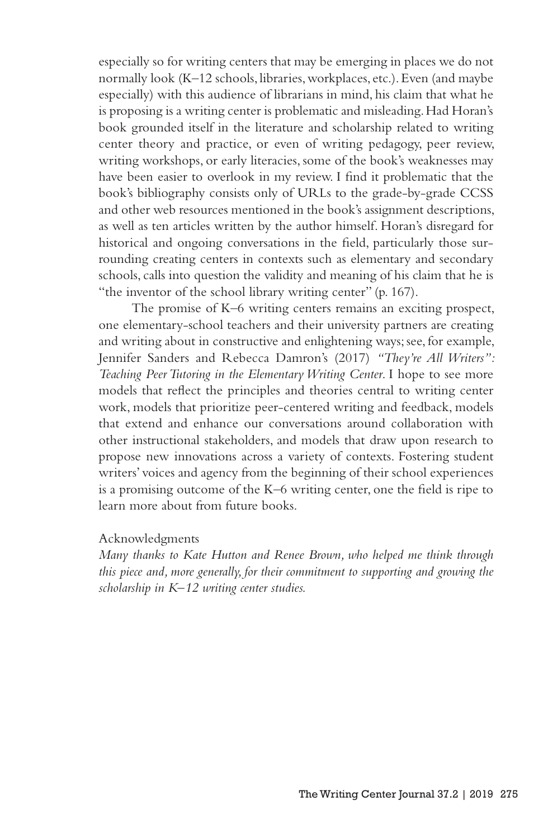especially so for writing centers that may be emerging in places we do not normally look (K–12 schools, libraries, workplaces, etc.). Even (and maybe especially) with this audience of librarians in mind, his claim that what he is proposing is a writing center is problematic and misleading. Had Horan's book grounded itself in the literature and scholarship related to writing center theory and practice, or even of writing pedagogy, peer review, writing workshops, or early literacies, some of the book's weaknesses may have been easier to overlook in my review. I find it problematic that the book's bibliography consists only of URLs to the grade-by-grade CCSS and other web resources mentioned in the book's assignment descriptions, as well as ten articles written by the author himself. Horan's disregard for historical and ongoing conversations in the field, particularly those surrounding creating centers in contexts such as elementary and secondary schools, calls into question the validity and meaning of his claim that he is "the inventor of the school library writing center" (p. 167).

The promise of K–6 writing centers remains an exciting prospect, one elementary-school teachers and their university partners are creating and writing about in constructive and enlightening ways; see, for example, Jennifer Sanders and Rebecca Damron's (2017) *"They're All Writers": Teaching Peer Tutoring in the Elementary Writing Center*. I hope to see more models that reflect the principles and theories central to writing center work, models that prioritize peer-centered writing and feedback, models that extend and enhance our conversations around collaboration with other instructional stakeholders, and models that draw upon research to propose new innovations across a variety of contexts. Fostering student writers' voices and agency from the beginning of their school experiences is a promising outcome of the K–6 writing center, one the field is ripe to learn more about from future books.

## Acknowledgments

*Many thanks to Kate Hutton and Renee Brown, who helped me think through this piece and, more generally, for their commitment to supporting and growing the scholarship in K–12 writing center studies.*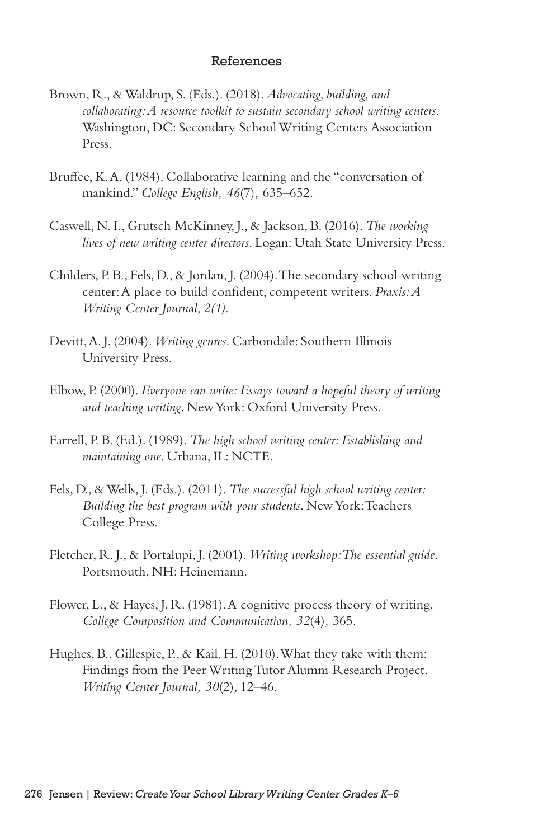## References

- Brown, R., & Waldrup, S. (Eds.). (2018). *Advocating, building, and collaborating: A resource toolkit to sustain secondary school writing centers*. Washington, DC: Secondary School Writing Centers Association Press.
- Bruffee, K. A. (1984). Collaborative learning and the "conversation of mankind." *College English, 46*(7)*,* 635–652.
- Caswell, N. I., Grutsch McKinney, J., & Jackson, B. (2016). *The working lives of new writing center directors*. Logan: Utah State University Press.
- Childers, P. B., Fels, D., & Jordan, J. (2004). The secondary school writing center: A place to build confident, competent writers. *Praxis: A Writing Center Journal, 2(1)*.
- Devitt, A. J. (2004). *Writing genres*. Carbondale: Southern Illinois University Press.
- Elbow, P. (2000). *Everyone can write: Essays toward a hopeful theory of writing and teaching writing*. New York: Oxford University Press.
- Farrell, P. B. (Ed.). (1989). *The high school writing center: Establishing and maintaining one*. Urbana, IL: NCTE.
- Fels, D., & Wells, J. (Eds.). (2011). *The successful high school writing center: Building the best program with your students*. New York: Teachers College Press.
- Fletcher, R. J., & Portalupi, J. (2001). *Writing workshop: The essential guide*. Portsmouth, NH: Heinemann.
- Flower, L., & Hayes, J. R. (1981). A cognitive process theory of writing. *College Composition and Communication, 32*(4)*,* 365.
- Hughes, B., Gillespie, P., & Kail, H. (2010). What they take with them: Findings from the Peer Writing Tutor Alumni Research Project. *Writing Center Journal, 30*(2)*,* 12–46.